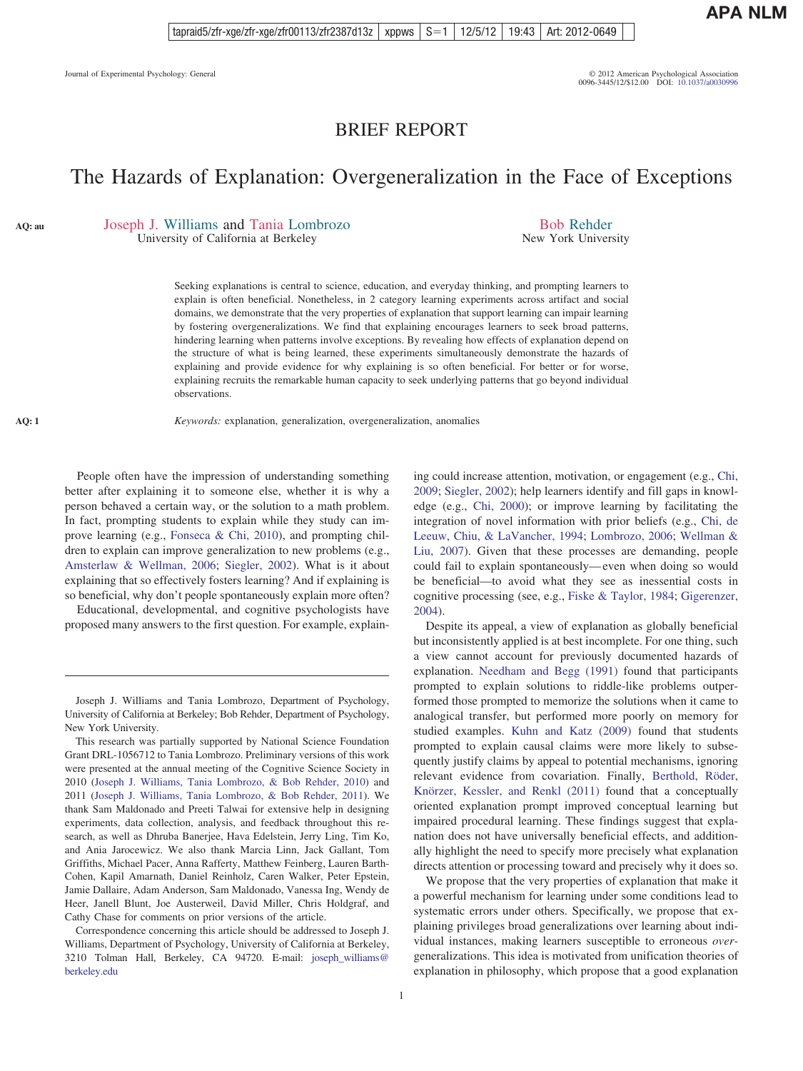## BRIEF REPORT

# The Hazards of Explanation: Overgeneralization in the Face of Exceptions

<span id="page-0-0"></span>**AQ: au**

<span id="page-0-1"></span>**AQ: 1**

Joseph J. Williams and Tania Lombrozo

University of California at Berkeley

Bob Rehder New York University

Seeking explanations is central to science, education, and everyday thinking, and prompting learners to explain is often beneficial. Nonetheless, in 2 category learning experiments across artifact and social domains, we demonstrate that the very properties of explanation that support learning can impair learning by fostering overgeneralizations. We find that explaining encourages learners to seek broad patterns, hindering learning when patterns involve exceptions. By revealing how effects of explanation depend on the structure of what is being learned, these experiments simultaneously demonstrate the hazards of explaining and provide evidence for why explaining is so often beneficial. For better or for worse, explaining recruits the remarkable human capacity to seek underlying patterns that go beyond individual observations.

*Keywords:* explanation, generalization, overgeneralization, anomalies

People often have the impression of understanding something better after explaining it to someone else, whether it is why a person behaved a certain way, or the solution to a math problem. In fact, prompting students to explain while they study can improve learning (e.g., [Fonseca & Chi, 2010\)](#page-7-0), and prompting children to explain can improve generalization to new problems (e.g., [Amsterlaw & Wellman, 2006;](#page-7-1) [Siegler, 2002\)](#page-8-0). What is it about explaining that so effectively fosters learning? And if explaining is so beneficial, why don't people spontaneously explain more often?

Educational, developmental, and cognitive psychologists have proposed many answers to the first question. For example, explaining could increase attention, motivation, or engagement (e.g., [Chi,](#page-7-2) [2009;](#page-7-2) [Siegler, 2002\)](#page-8-0); help learners identify and fill gaps in knowledge (e.g., [Chi, 2000\)](#page-7-3); or improve learning by facilitating the integration of novel information with prior beliefs (e.g., [Chi, de](#page-7-4) [Leeuw, Chiu, & LaVancher, 1994;](#page-7-4) [Lombrozo, 2006;](#page-7-5) [Wellman &](#page-8-1) [Liu, 2007\)](#page-8-1). Given that these processes are demanding, people could fail to explain spontaneously— even when doing so would be beneficial—to avoid what they see as inessential costs in cognitive processing (see, e.g., [Fiske & Taylor, 1984;](#page-7-6) [Gigerenzer,](#page-7-7) [2004\)](#page-7-7).

Despite its appeal, a view of explanation as globally beneficial but inconsistently applied is at best incomplete. For one thing, such a view cannot account for previously documented hazards of explanation. [Needham and Begg \(1991\)](#page-7-8) found that participants prompted to explain solutions to riddle-like problems outperformed those prompted to memorize the solutions when it came to analogical transfer, but performed more poorly on memory for studied examples. [Kuhn and Katz \(2009\)](#page-7-9) found that students prompted to explain causal claims were more likely to subsequently justify claims by appeal to potential mechanisms, ignoring relevant evidence from covariation. Finally, [Berthold, Röder,](#page-7-10) [Knörzer, Kessler, and Renkl \(2011\)](#page-7-10) found that a conceptually oriented explanation prompt improved conceptual learning but impaired procedural learning. These findings suggest that explanation does not have universally beneficial effects, and additionally highlight the need to specify more precisely what explanation directs attention or processing toward and precisely why it does so.

We propose that the very properties of explanation that make it a powerful mechanism for learning under some conditions lead to systematic errors under others. Specifically, we propose that explaining privileges broad generalizations over learning about individual instances, making learners susceptible to erroneous *over*generalizations. This idea is motivated from unification theories of explanation in philosophy, which propose that a good explanation

Joseph J. Williams and Tania Lombrozo, Department of Psychology, University of California at Berkeley; Bob Rehder, Department of Psychology, New York University.

This research was partially supported by National Science Foundation Grant DRL-1056712 to Tania Lombrozo. Preliminary versions of this work were presented at the annual meeting of the Cognitive Science Society in 2010 [\(Joseph J. Williams, Tania Lombrozo, & Bob Rehder, 2010\)](#page-8-2) and 2011 [\(Joseph J. Williams, Tania Lombrozo, & Bob Rehder, 2011\)](#page-8-3). We thank Sam Maldonado and Preeti Talwai for extensive help in designing experiments, data collection, analysis, and feedback throughout this research, as well as Dhruba Banerjee, Hava Edelstein, Jerry Ling, Tim Ko, and Ania Jarocewicz. We also thank Marcia Linn, Jack Gallant, Tom Griffiths, Michael Pacer, Anna Rafferty, Matthew Feinberg, Lauren Barth-Cohen, Kapil Amarnath, Daniel Reinholz, Caren Walker, Peter Epstein, Jamie Dallaire, Adam Anderson, Sam Maldonado, Vanessa Ing, Wendy de Heer, Janell Blunt, Joe Austerweil, David Miller, Chris Holdgraf, and Cathy Chase for comments on prior versions of the article.

Correspondence concerning this article should be addressed to Joseph J. Williams, Department of Psychology, University of California at Berkeley, 3210 Tolman Hall, Berkeley, CA 94720. E-mail: [joseph\\_williams@](mailto:joseph_williams@berkeley.edu) [berkeley.edu](mailto:joseph_williams@berkeley.edu)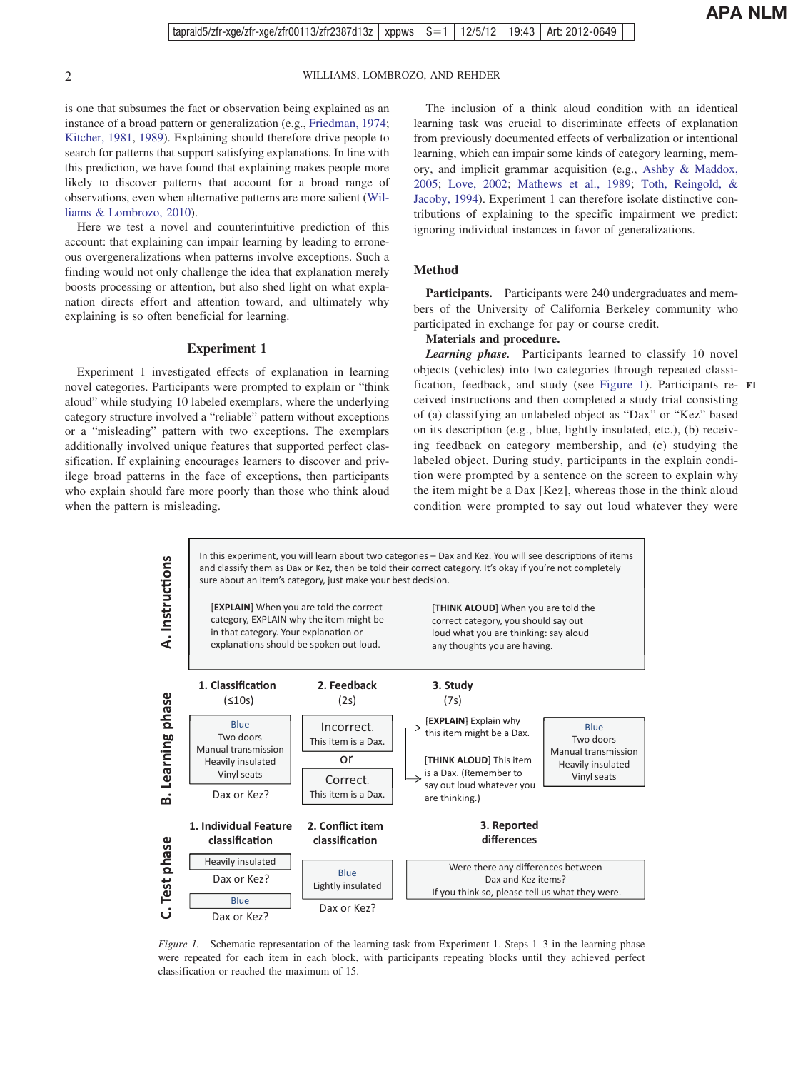is one that subsumes the fact or observation being explained as an instance of a broad pattern or generalization (e.g., [Friedman, 1974;](#page-7-11) [Kitcher, 1981,](#page-7-12) [1989\)](#page-7-13). Explaining should therefore drive people to search for patterns that support satisfying explanations. In line with this prediction, we have found that explaining makes people more likely to discover patterns that account for a broad range of observations, even when alternative patterns are more salient [\(Wil](#page-8-4)[liams & Lombrozo, 2010\)](#page-8-4).

Here we test a novel and counterintuitive prediction of this account: that explaining can impair learning by leading to erroneous overgeneralizations when patterns involve exceptions. Such a finding would not only challenge the idea that explanation merely boosts processing or attention, but also shed light on what explanation directs effort and attention toward, and ultimately why explaining is so often beneficial for learning.

#### **Experiment 1**

Experiment 1 investigated effects of explanation in learning novel categories. Participants were prompted to explain or "think aloud" while studying 10 labeled exemplars, where the underlying category structure involved a "reliable" pattern without exceptions or a "misleading" pattern with two exceptions. The exemplars additionally involved unique features that supported perfect classification. If explaining encourages learners to discover and privilege broad patterns in the face of exceptions, then participants who explain should fare more poorly than those who think aloud when the pattern is misleading.

The inclusion of a think aloud condition with an identical learning task was crucial to discriminate effects of explanation from previously documented effects of verbalization or intentional learning, which can impair some kinds of category learning, memory, and implicit grammar acquisition (e.g., [Ashby & Maddox,](#page-7-14) [2005;](#page-7-14) [Love, 2002;](#page-7-15) [Mathews et al., 1989;](#page-7-16) [Toth, Reingold, &](#page-8-5) [Jacoby, 1994\)](#page-8-5). Experiment 1 can therefore isolate distinctive contributions of explaining to the specific impairment we predict: ignoring individual instances in favor of generalizations.

### **Method**

**Participants.** Participants were 240 undergraduates and members of the University of California Berkeley community who participated in exchange for pay or course credit.

#### **Materials and procedure.**

*Learning phase.* Participants learned to classify 10 novel objects (vehicles) into two categories through repeated classification, feedback, and study (see [Figure 1\)](#page-1-0). Participants re-**F1** ceived instructions and then completed a study trial consisting of (a) classifying an unlabeled object as "Dax" or "Kez" based on its description (e.g., blue, lightly insulated, etc.), (b) receiving feedback on category membership, and (c) studying the labeled object. During study, participants in the explain condition were prompted by a sentence on the screen to explain why the item might be a Dax [Kez], whereas those in the think aloud condition were prompted to say out loud whatever they were



<span id="page-1-0"></span>*Figure 1.* Schematic representation of the learning task from Experiment 1. Steps 1–3 in the learning phase were repeated for each item in each block, with participants repeating blocks until they achieved perfect classification or reached the maximum of 15.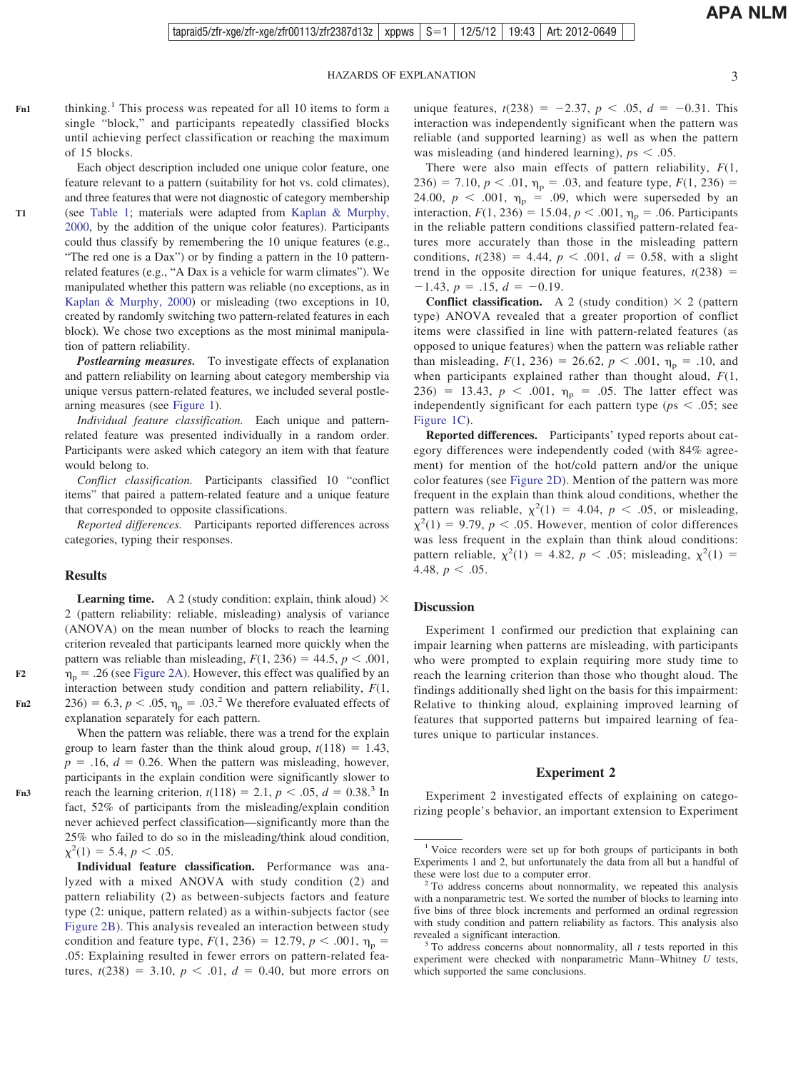thinking.<sup>1</sup> This process was repeated for all 10 items to form a single "block," and participants repeatedly classified blocks until achieving perfect classification or reaching the maximum of 15 blocks. **Fn1**

> Each object description included one unique color feature, one feature relevant to a pattern (suitability for hot vs. cold climates), and three features that were not diagnostic of category membership (see [Table 1;](#page-3-0) materials were adapted from [Kaplan & Murphy,](#page-7-17) [2000,](#page-7-17) by the addition of the unique color features). Participants could thus classify by remembering the 10 unique features (e.g., "The red one is a Dax") or by finding a pattern in the 10 patternrelated features (e.g., "A Dax is a vehicle for warm climates"). We manipulated whether this pattern was reliable (no exceptions, as in [Kaplan & Murphy, 2000\)](#page-7-17) or misleading (two exceptions in 10, created by randomly switching two pattern-related features in each block). We chose two exceptions as the most minimal manipulation of pattern reliability.

> *Postlearning measures.* To investigate effects of explanation and pattern reliability on learning about category membership via unique versus pattern-related features, we included several postlearning measures (see [Figure 1\)](#page-1-0).

> *Individual feature classification.* Each unique and patternrelated feature was presented individually in a random order. Participants were asked which category an item with that feature would belong to.

> *Conflict classification.* Participants classified 10 "conflict items" that paired a pattern-related feature and a unique feature that corresponded to opposite classifications.

> *Reported differences.* Participants reported differences across categories, typing their responses.

#### **Results**

**Learning time.** A 2 (study condition: explain, think aloud)  $\times$ 2 (pattern reliability: reliable, misleading) analysis of variance (ANOVA) on the mean number of blocks to reach the learning criterion revealed that participants learned more quickly when the pattern was reliable than misleading,  $F(1, 236) = 44.5$ ,  $p < .001$ ,  $\eta_p$  = .26 (see [Figure 2A\)](#page-3-1). However, this effect was qualified by an interaction between study condition and pattern reliability, *F*(1, 236) = 6.3,  $p < .05$ ,  $\eta_p = .03$ <sup>2</sup> We therefore evaluated effects of explanation separately for each pattern.

When the pattern was reliable, there was a trend for the explain group to learn faster than the think aloud group,  $t(118) = 1.43$ ,  $p = .16$ ,  $d = 0.26$ . When the pattern was misleading, however, participants in the explain condition were significantly slower to reach the learning criterion,  $t(118) = 2.1$ ,  $p < .05$ ,  $d = 0.38$ .<sup>3</sup> In fact, 52% of participants from the misleading/explain condition never achieved perfect classification—significantly more than the 25% who failed to do so in the misleading/think aloud condition,  $\chi^2(1) = 5.4, p < .05.$ 

**Individual feature classification.** Performance was analyzed with a mixed ANOVA with study condition (2) and pattern reliability (2) as between-subjects factors and feature type (2: unique, pattern related) as a within-subjects factor (see [Figure 2B\)](#page-3-1). This analysis revealed an interaction between study condition and feature type,  $F(1, 236) = 12.79$ ,  $p < .001$ ,  $\eta_p =$ .05: Explaining resulted in fewer errors on pattern-related features,  $t(238) = 3.10, p < .01, d = 0.40$ , but more errors on

unique features,  $t(238) = -2.37$ ,  $p < .05$ ,  $d = -0.31$ . This interaction was independently significant when the pattern was reliable (and supported learning) as well as when the pattern was misleading (and hindered learning),  $p_s < .05$ .

There were also main effects of pattern reliability, *F*(1,  $236$ ) = 7.10,  $p < .01$ ,  $\eta_p = .03$ , and feature type,  $F(1, 236)$  = 24.00,  $p < .001$ ,  $\eta_p = .09$ , which were superseded by an interaction,  $F(1, 236) = 15.04$ ,  $p < .001$ ,  $\eta_p = .06$ . Participants in the reliable pattern conditions classified pattern-related features more accurately than those in the misleading pattern conditions,  $t(238) = 4.44$ ,  $p < .001$ ,  $d = 0.58$ , with a slight trend in the opposite direction for unique features,  $t(238)$  =  $-1.43, p = .15, d = -0.19.$ 

**Conflict classification.** A 2 (study condition)  $\times$  2 (pattern type) ANOVA revealed that a greater proportion of conflict items were classified in line with pattern-related features (as opposed to unique features) when the pattern was reliable rather than misleading,  $F(1, 236) = 26.62$ ,  $p < .001$ ,  $\eta_p = .10$ , and when participants explained rather than thought aloud, *F*(1, 236) = 13.43,  $p < .001$ ,  $\eta_p = .05$ . The latter effect was independently significant for each pattern type ( $ps < .05$ ; see [Figure 1C\)](#page-1-0).

**Reported differences.** Participants' typed reports about category differences were independently coded (with 84% agreement) for mention of the hot/cold pattern and/or the unique color features (see [Figure 2D\)](#page-3-1). Mention of the pattern was more frequent in the explain than think aloud conditions, whether the pattern was reliable,  $\chi^2(1) = 4.04$ ,  $p < .05$ , or misleading,  $\chi^2(1) = 9.79$ ,  $p < .05$ . However, mention of color differences was less frequent in the explain than think aloud conditions: pattern reliable,  $\chi^2(1) = 4.82, p < .05$ ; misleading,  $\chi^2(1) =$ 4.48,  $p < .05$ .

#### **Discussion**

Experiment 1 confirmed our prediction that explaining can impair learning when patterns are misleading, with participants who were prompted to explain requiring more study time to reach the learning criterion than those who thought aloud. The findings additionally shed light on the basis for this impairment: Relative to thinking aloud, explaining improved learning of features that supported patterns but impaired learning of features unique to particular instances.

#### **Experiment 2**

Experiment 2 investigated effects of explaining on categorizing people's behavior, an important extension to Experiment

**T1**

**F2**

**Fn2**

**Fn3**

<sup>&</sup>lt;sup>1</sup> Voice recorders were set up for both groups of participants in both Experiments 1 and 2, but unfortunately the data from all but a handful of

these were lost due to a computer error.<br><sup>2</sup> To address concerns about nonnormality, we repeated this analysis with a nonparametric test. We sorted the number of blocks to learning into five bins of three block increments and performed an ordinal regression with study condition and pattern reliability as factors. This analysis also revealed a significant interaction. <sup>3</sup> To address concerns about nonnormality, all *<sup>t</sup>* tests reported in this

experiment were checked with nonparametric Mann–Whitney *U* tests, which supported the same conclusions.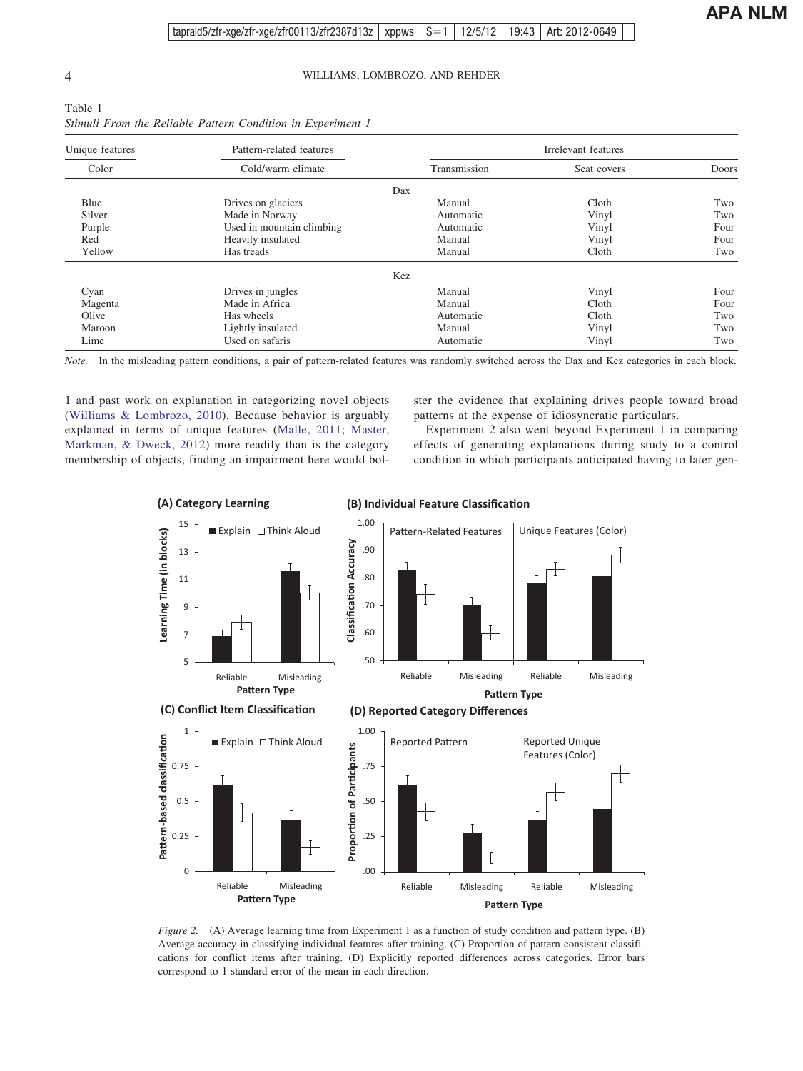<span id="page-3-0"></span>

| Table 1 |  |  |                                                             |  |
|---------|--|--|-------------------------------------------------------------|--|
|         |  |  | Stimuli From the Reliable Pattern Condition in Experiment 1 |  |

| Unique features | Pattern-related features  | Irrelevant features |             |       |  |
|-----------------|---------------------------|---------------------|-------------|-------|--|
| Color           | Cold/warm climate         | Transmission        | Seat covers | Doors |  |
|                 |                           | Dax                 |             |       |  |
| Blue            | Drives on glaciers        | Manual              | Cloth       | Two   |  |
| Silver          | Made in Norway            | Automatic           | Vinyl       | Two   |  |
| Purple          | Used in mountain climbing | Automatic           | Vinyl       | Four  |  |
| Red             | Heavily insulated         | Manual              | Vinyl       | Four  |  |
| Yellow          | Has treads                | Manual              | Cloth       | Two   |  |
|                 |                           | Kez                 |             |       |  |
| Cyan            | Drives in jungles         | Manual              | Vinyl       | Four  |  |
| Magenta         | Made in Africa            | Manual              | Cloth       | Four  |  |
| Olive           | Has wheels                | Automatic           | Cloth       | Two   |  |
| Maroon          | Lightly insulated         | Manual              | Vinyl       | Two   |  |
| Lime            | Used on safaris           | Automatic           | Vinyl       | Two   |  |

*Note.* In the misleading pattern conditions, a pair of pattern-related features was randomly switched across the Dax and Kez categories in each block.

1 and past work on explanation in categorizing novel objects [\(Williams & Lombrozo, 2010\)](#page-8-4). Because behavior is arguably explained in terms of unique features [\(Malle, 2011;](#page-7-18) [Master,](#page-7-19) [Markman, & Dweck, 2012\)](#page-7-19) more readily than is the category membership of objects, finding an impairment here would bolster the evidence that explaining drives people toward broad patterns at the expense of idiosyncratic particulars.

Experiment 2 also went beyond Experiment 1 in comparing effects of generating explanations during study to a control condition in which participants anticipated having to later gen-



**(B) Individual Feature Classification** 

<span id="page-3-1"></span>*Figure 2.* (A) Average learning time from Experiment 1 as a function of study condition and pattern type. (B) Average accuracy in classifying individual features after training. (C) Proportion of pattern-consistent classifications for conflict items after training. (D) Explicitly reported differences across categories. Error bars correspond to 1 standard error of the mean in each direction.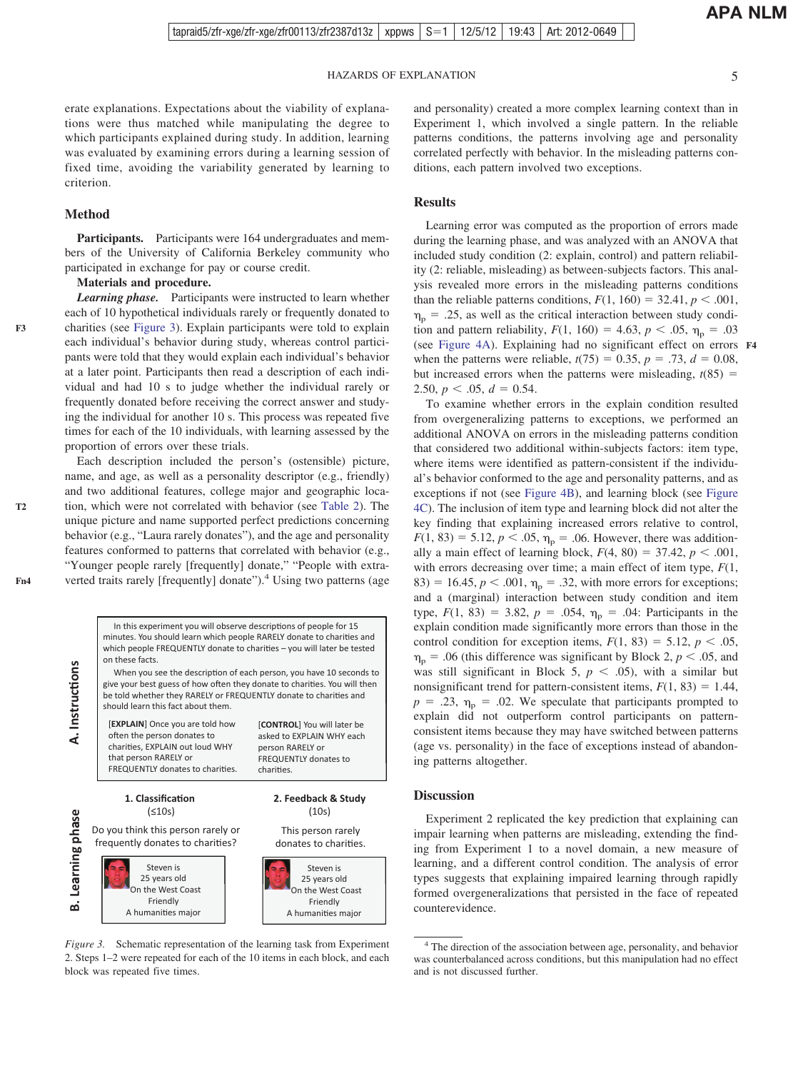erate explanations. Expectations about the viability of explanations were thus matched while manipulating the degree to which participants explained during study. In addition, learning was evaluated by examining errors during a learning session of fixed time, avoiding the variability generated by learning to criterion.

#### **Method**

Participants. Participants were 164 undergraduates and members of the University of California Berkeley community who participated in exchange for pay or course credit.

#### **Materials and procedure.**

**F3**

**T2**

**Fn4**

*Learning phase.* Participants were instructed to learn whether each of 10 hypothetical individuals rarely or frequently donated to charities (see [Figure 3\)](#page-4-0). Explain participants were told to explain each individual's behavior during study, whereas control participants were told that they would explain each individual's behavior at a later point. Participants then read a description of each individual and had 10 s to judge whether the individual rarely or frequently donated before receiving the correct answer and studying the individual for another 10 s. This process was repeated five times for each of the 10 individuals, with learning assessed by the proportion of errors over these trials.

Each description included the person's (ostensible) picture, name, and age, as well as a personality descriptor (e.g., friendly) and two additional features, college major and geographic location, which were not correlated with behavior (see [Table 2\)](#page-5-0). The unique picture and name supported perfect predictions concerning behavior (e.g., "Laura rarely donates"), and the age and personality features conformed to patterns that correlated with behavior (e.g., "Younger people rarely [frequently] donate," "People with extraverted traits rarely [frequently] donate").<sup>4</sup> Using two patterns (age

and personality) created a more complex learning context than in Experiment 1, which involved a single pattern. In the reliable patterns conditions, the patterns involving age and personality correlated perfectly with behavior. In the misleading patterns conditions, each pattern involved two exceptions.

#### **Results**

Learning error was computed as the proportion of errors made during the learning phase, and was analyzed with an ANOVA that included study condition (2: explain, control) and pattern reliability (2: reliable, misleading) as between-subjects factors. This analysis revealed more errors in the misleading patterns conditions than the reliable patterns conditions,  $F(1, 160) = 32.41$ ,  $p < .001$ ,  $\eta_{\rm p}$  = .25, as well as the critical interaction between study condition and pattern reliability,  $F(1, 160) = 4.63$ ,  $p < .05$ ,  $\eta_p = .03$ (see [Figure 4A\)](#page-6-0). Explaining had no significant effect on errors **F4** when the patterns were reliable,  $t(75) = 0.35$ ,  $p = .73$ ,  $d = 0.08$ , but increased errors when the patterns were misleading,  $t(85)$  = 2.50,  $p < .05$ ,  $d = 0.54$ .

To examine whether errors in the explain condition resulted from overgeneralizing patterns to exceptions, we performed an additional ANOVA on errors in the misleading patterns condition that considered two additional within-subjects factors: item type, where items were identified as pattern-consistent if the individual's behavior conformed to the age and personality patterns, and as exceptions if not (see [Figure 4B\)](#page-6-0), and learning block (see [Figure](#page-6-0) [4C\)](#page-6-0). The inclusion of item type and learning block did not alter the key finding that explaining increased errors relative to control,  $F(1, 83) = 5.12, p < .05, \eta_p = .06$ . However, there was additionally a main effect of learning block,  $F(4, 80) = 37.42$ ,  $p < .001$ , with errors decreasing over time; a main effect of item type, *F*(1, 83) = 16.45,  $p < .001$ ,  $\eta_p = .32$ , with more errors for exceptions; and a (marginal) interaction between study condition and item type,  $F(1, 83) = 3.82$ ,  $p = .054$ ,  $\eta_p = .04$ : Participants in the explain condition made significantly more errors than those in the control condition for exception items,  $F(1, 83) = 5.12$ ,  $p < .05$ ,  $\eta_p$  = .06 (this difference was significant by Block 2,  $p < .05$ , and was still significant in Block 5,  $p < .05$ ), with a similar but nonsignificant trend for pattern-consistent items,  $F(1, 83) = 1.44$ ,  $p = .23$ ,  $\eta_p = .02$ . We speculate that participants prompted to explain did not outperform control participants on patternconsistent items because they may have switched between patterns (age vs. personality) in the face of exceptions instead of abandoning patterns altogether.

#### **Discussion**

Experiment 2 replicated the key prediction that explaining can impair learning when patterns are misleading, extending the finding from Experiment 1 to a novel domain, a new measure of learning, and a different control condition. The analysis of error types suggests that explaining impaired learning through rapidly formed overgeneralizations that persisted in the face of repeated counterevidence.

<sup>4</sup> The direction of the association between age, personality, and behavior was counterbalanced across conditions, but this manipulation had no effect and is not discussed further.



<span id="page-4-0"></span>*Figure 3.* Schematic representation of the learning task from Experiment 2. Steps 1–2 were repeated for each of the 10 items in each block, and each block was repeated five times.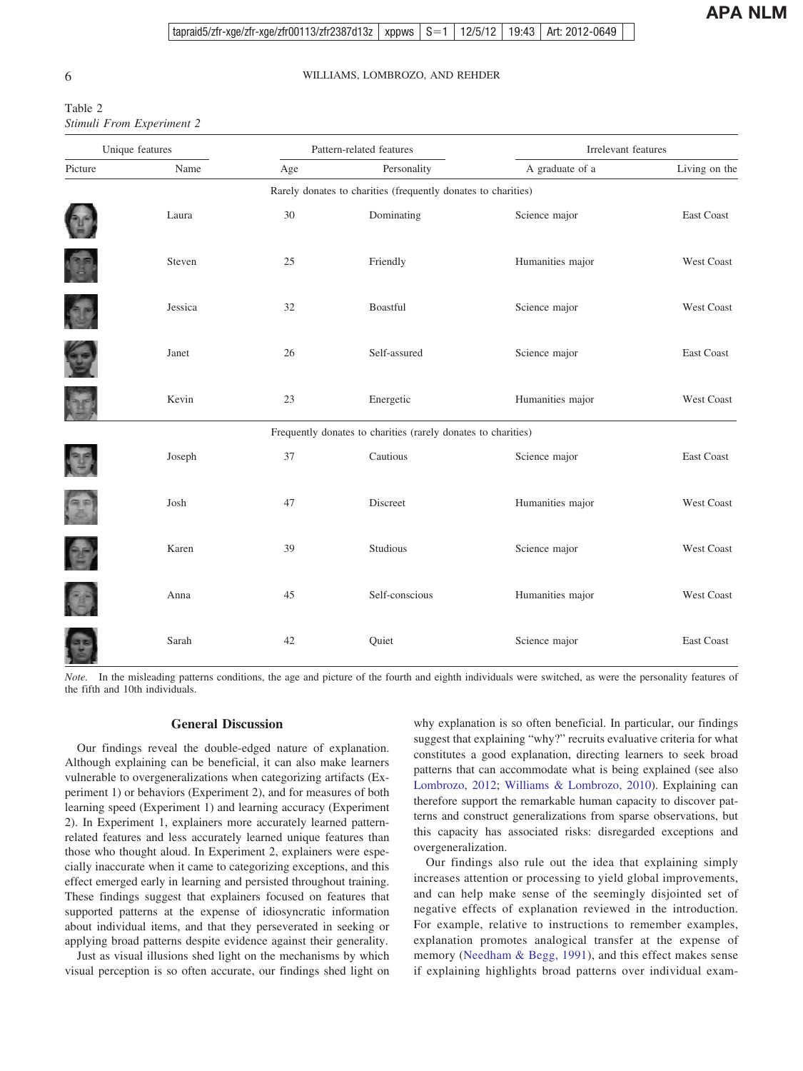<span id="page-5-0"></span>

| Table 2                   |  |
|---------------------------|--|
| Stimuli From Experiment 2 |  |

| Unique features |         | Pattern-related features |                                                               | Irrelevant features |                   |  |
|-----------------|---------|--------------------------|---------------------------------------------------------------|---------------------|-------------------|--|
| Picture         | Name    | Age                      | Personality                                                   | A graduate of a     | Living on the     |  |
|                 |         |                          | Rarely donates to charities (frequently donates to charities) |                     |                   |  |
|                 | Laura   | 30                       | Dominating                                                    | Science major       | <b>East Coast</b> |  |
|                 | Steven  | 25                       | Friendly                                                      | Humanities major    | West Coast        |  |
| C               | Jessica | 32                       | Boastful                                                      | Science major       | <b>West Coast</b> |  |
| S               | Janet   | 26                       | Self-assured                                                  | Science major       | East Coast        |  |
|                 | Kevin   | 23                       | Energetic                                                     | Humanities major    | West Coast        |  |
|                 |         |                          | Frequently donates to charities (rarely donates to charities) |                     |                   |  |
|                 | Joseph  | 37                       | Cautious                                                      | Science major       | <b>East Coast</b> |  |
| $\binom{a}{b}$  | Josh    | 47                       | Discreet                                                      | Humanities major    | <b>West Coast</b> |  |
| 25              | Karen   | 39                       | Studious                                                      | Science major       | West Coast        |  |
| C               | Anna    | 45                       | Self-conscious                                                | Humanities major    | West Coast        |  |
|                 | Sarah   | 42                       | Quiet                                                         | Science major       | <b>East Coast</b> |  |

*Note.* In the misleading patterns conditions, the age and picture of the fourth and eighth individuals were switched, as were the personality features of the fifth and 10th individuals.

#### **General Discussion**

Our findings reveal the double-edged nature of explanation. Although explaining can be beneficial, it can also make learners vulnerable to overgeneralizations when categorizing artifacts (Experiment 1) or behaviors (Experiment 2), and for measures of both learning speed (Experiment 1) and learning accuracy (Experiment 2). In Experiment 1, explainers more accurately learned patternrelated features and less accurately learned unique features than those who thought aloud. In Experiment 2, explainers were especially inaccurate when it came to categorizing exceptions, and this effect emerged early in learning and persisted throughout training. These findings suggest that explainers focused on features that supported patterns at the expense of idiosyncratic information about individual items, and that they perseverated in seeking or applying broad patterns despite evidence against their generality.

Just as visual illusions shed light on the mechanisms by which visual perception is so often accurate, our findings shed light on

why explanation is so often beneficial. In particular, our findings suggest that explaining "why?" recruits evaluative criteria for what constitutes a good explanation, directing learners to seek broad patterns that can accommodate what is being explained (see also [Lombrozo, 2012;](#page-7-20) [Williams & Lombrozo, 2010\)](#page-8-4). Explaining can therefore support the remarkable human capacity to discover patterns and construct generalizations from sparse observations, but this capacity has associated risks: disregarded exceptions and overgeneralization.

Our findings also rule out the idea that explaining simply increases attention or processing to yield global improvements, and can help make sense of the seemingly disjointed set of negative effects of explanation reviewed in the introduction. For example, relative to instructions to remember examples, explanation promotes analogical transfer at the expense of memory [\(Needham & Begg, 1991\)](#page-7-8), and this effect makes sense if explaining highlights broad patterns over individual exam-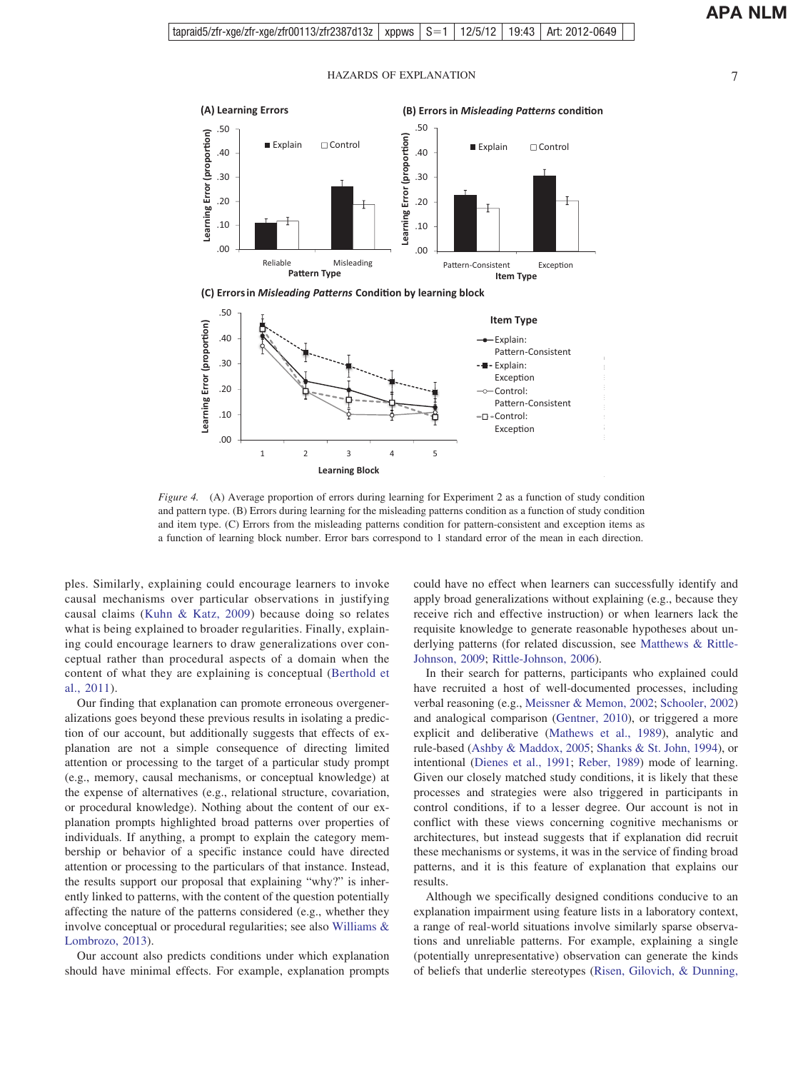

**(C) Errors in** *Misleading Patterns* **Condition by learning block** 



<span id="page-6-0"></span>*Figure 4.* (A) Average proportion of errors during learning for Experiment 2 as a function of study condition and pattern type. (B) Errors during learning for the misleading patterns condition as a function of study condition and item type. (C) Errors from the misleading patterns condition for pattern-consistent and exception items as a function of learning block number. Error bars correspond to 1 standard error of the mean in each direction.

ples. Similarly, explaining could encourage learners to invoke causal mechanisms over particular observations in justifying causal claims [\(Kuhn & Katz, 2009\)](#page-7-9) because doing so relates what is being explained to broader regularities. Finally, explaining could encourage learners to draw generalizations over conceptual rather than procedural aspects of a domain when the content of what they are explaining is conceptual [\(Berthold et](#page-7-10) [al., 2011\)](#page-7-10).

Our finding that explanation can promote erroneous overgeneralizations goes beyond these previous results in isolating a prediction of our account, but additionally suggests that effects of explanation are not a simple consequence of directing limited attention or processing to the target of a particular study prompt (e.g., memory, causal mechanisms, or conceptual knowledge) at the expense of alternatives (e.g., relational structure, covariation, or procedural knowledge). Nothing about the content of our explanation prompts highlighted broad patterns over properties of individuals. If anything, a prompt to explain the category membership or behavior of a specific instance could have directed attention or processing to the particulars of that instance. Instead, the results support our proposal that explaining "why?" is inherently linked to patterns, with the content of the question potentially affecting the nature of the patterns considered (e.g., whether they involve conceptual or procedural regularities; see also [Williams &](#page-8-6) [Lombrozo, 2013\)](#page-8-6).

Our account also predicts conditions under which explanation should have minimal effects. For example, explanation prompts

could have no effect when learners can successfully identify and apply broad generalizations without explaining (e.g., because they receive rich and effective instruction) or when learners lack the requisite knowledge to generate reasonable hypotheses about underlying patterns (for related discussion, see [Matthews & Rittle-](#page-7-21)[Johnson, 2009;](#page-7-21) [Rittle-Johnson, 2006\)](#page-7-22).

In their search for patterns, participants who explained could have recruited a host of well-documented processes, including verbal reasoning (e.g., [Meissner & Memon, 2002;](#page-7-23) [Schooler, 2002\)](#page-7-24) and analogical comparison [\(Gentner, 2010\)](#page-7-25), or triggered a more explicit and deliberative [\(Mathews et al., 1989\)](#page-7-16), analytic and rule-based [\(Ashby & Maddox, 2005;](#page-7-14) [Shanks & St. John, 1994\)](#page-7-26), or intentional [\(Dienes et al., 1991;](#page-7-27) [Reber, 1989\)](#page-7-28) mode of learning. Given our closely matched study conditions, it is likely that these processes and strategies were also triggered in participants in control conditions, if to a lesser degree. Our account is not in conflict with these views concerning cognitive mechanisms or architectures, but instead suggests that if explanation did recruit these mechanisms or systems, it was in the service of finding broad patterns, and it is this feature of explanation that explains our results.

Although we specifically designed conditions conducive to an explanation impairment using feature lists in a laboratory context, a range of real-world situations involve similarly sparse observations and unreliable patterns. For example, explaining a single (potentially unrepresentative) observation can generate the kinds of beliefs that underlie stereotypes [\(Risen, Gilovich, & Dunning,](#page-7-29)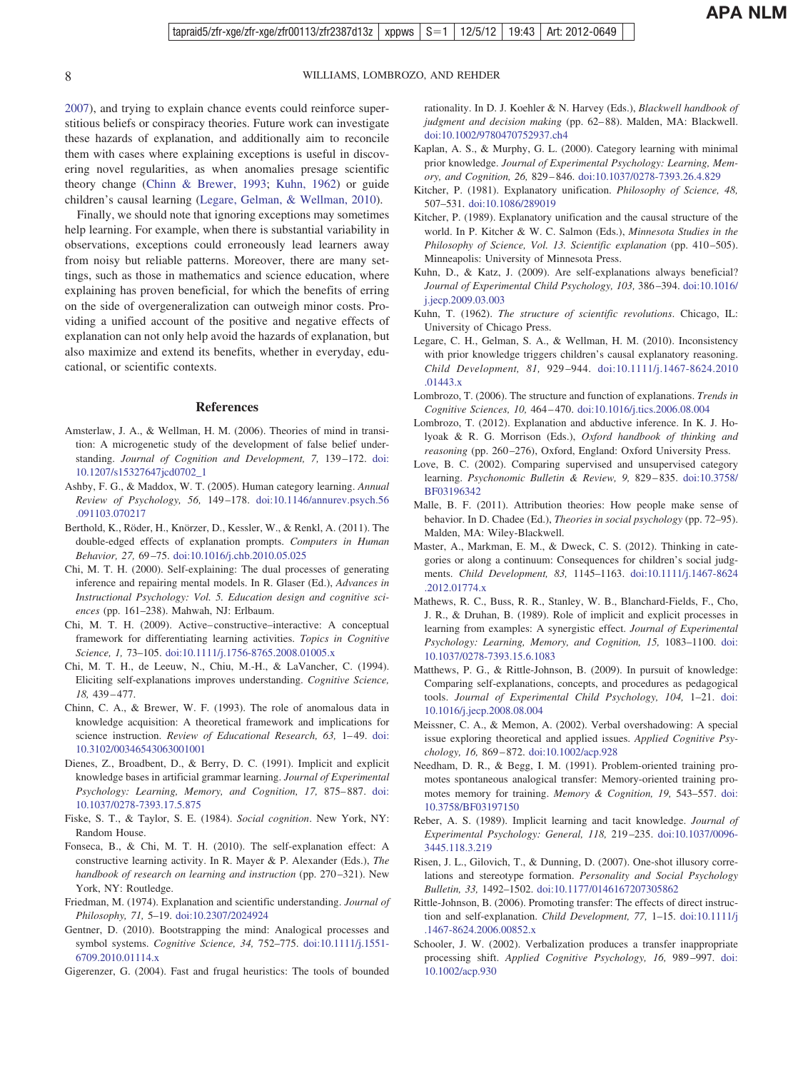<span id="page-7-26"></span>[2007\)](#page-7-29), and trying to explain chance events could reinforce superstitious beliefs or conspiracy theories. Future work can investigate these hazards of explanation, and additionally aim to reconcile them with cases where explaining exceptions is useful in discovering novel regularities, as when anomalies presage scientific theory change [\(Chinn & Brewer, 1993;](#page-7-30) [Kuhn, 1962\)](#page-7-31) or guide children's causal learning [\(Legare, Gelman, & Wellman, 2010\)](#page-7-32).

Finally, we should note that ignoring exceptions may sometimes help learning. For example, when there is substantial variability in observations, exceptions could erroneously lead learners away from noisy but reliable patterns. Moreover, there are many settings, such as those in mathematics and science education, where explaining has proven beneficial, for which the benefits of erring on the side of overgeneralization can outweigh minor costs. Providing a unified account of the positive and negative effects of explanation can not only help avoid the hazards of explanation, but also maximize and extend its benefits, whether in everyday, educational, or scientific contexts.

#### **References**

- <span id="page-7-1"></span>Amsterlaw, J. A., & Wellman, H. M. (2006). Theories of mind in transition: A microgenetic study of the development of false belief understanding. *Journal of Cognition and Development*, 7, 139-172. [doi:](http://dx.doi.org/10.1207/s15327647jcd0702_1) [10.1207/s15327647jcd0702\\_1](http://dx.doi.org/10.1207/s15327647jcd0702_1)
- <span id="page-7-14"></span>Ashby, F. G., & Maddox, W. T. (2005). Human category learning. *Annual Review of Psychology, 56,* 149 –178. [doi:10.1146/annurev.psych.56](http://dx.doi.org/10.1146/annurev.psych.56.091103.070217) [.091103.070217](http://dx.doi.org/10.1146/annurev.psych.56.091103.070217)
- <span id="page-7-10"></span>Berthold, K., Röder, H., Knörzer, D., Kessler, W., & Renkl, A. (2011). The double-edged effects of explanation prompts. *Computers in Human Behavior, 27,* 69 –75. [doi:10.1016/j.chb.2010.05.025](http://dx.doi.org/10.1016/j.chb.2010.05.025)
- <span id="page-7-3"></span>Chi, M. T. H. (2000). Self-explaining: The dual processes of generating inference and repairing mental models. In R. Glaser (Ed.), *Advances in Instructional Psychology: Vol. 5. Education design and cognitive sciences* (pp. 161–238). Mahwah, NJ: Erlbaum.
- <span id="page-7-2"></span>Chi, M. T. H. (2009). Active– constructive–interactive: A conceptual framework for differentiating learning activities. *Topics in Cognitive Science, 1,* 73–105. [doi:10.1111/j.1756-8765.2008.01005.x](http://dx.doi.org/10.1111/j.1756-8765.2008.01005.x)
- <span id="page-7-4"></span>Chi, M. T. H., de Leeuw, N., Chiu, M.-H., & LaVancher, C. (1994). Eliciting self-explanations improves understanding. *Cognitive Science, 18,* 439 – 477.
- <span id="page-7-30"></span>Chinn, C. A., & Brewer, W. F. (1993). The role of anomalous data in knowledge acquisition: A theoretical framework and implications for science instruction. *Review of Educational Research, 63, 1-49.* [doi:](http://dx.doi.org/10.3102/00346543063001001) [10.3102/00346543063001001](http://dx.doi.org/10.3102/00346543063001001)
- <span id="page-7-27"></span>Dienes, Z., Broadbent, D., & Berry, D. C. (1991). Implicit and explicit knowledge bases in artificial grammar learning. *Journal of Experimental Psychology: Learning, Memory, and Cognition, 17,* 875– 887. [doi:](http://dx.doi.org/10.1037/0278-7393.17.5.875) [10.1037/0278-7393.17.5.875](http://dx.doi.org/10.1037/0278-7393.17.5.875)
- <span id="page-7-6"></span>Fiske, S. T., & Taylor, S. E. (1984). *Social cognition*. New York, NY: Random House.
- <span id="page-7-0"></span>Fonseca, B., & Chi, M. T. H. (2010). The self-explanation effect: A constructive learning activity. In R. Mayer & P. Alexander (Eds.), *The handbook of research on learning and instruction* (pp. 270 –321). New York, NY: Routledge.
- <span id="page-7-11"></span>Friedman, M. (1974). Explanation and scientific understanding. *Journal of Philosophy, 71,* 5–19. [doi:10.2307/2024924](http://dx.doi.org/10.2307/2024924)
- <span id="page-7-25"></span>Gentner, D. (2010). Bootstrapping the mind: Analogical processes and symbol systems. *Cognitive Science, 34,* 752–775. [doi:10.1111/j.1551-](http://dx.doi.org/10.1111/j.1551-6709.2010.01114.x) [6709.2010.01114.x](http://dx.doi.org/10.1111/j.1551-6709.2010.01114.x)
- <span id="page-7-7"></span>Gigerenzer, G. (2004). Fast and frugal heuristics: The tools of bounded

rationality. In D. J. Koehler & N. Harvey (Eds.), *Blackwell handbook of* judgment and decision making (pp. 62-88). Malden, MA: Blackwell. [doi:10.1002/9780470752937.ch4](http://dx.doi.org/10.1002/9780470752937.ch4)

- <span id="page-7-17"></span>Kaplan, A. S., & Murphy, G. L. (2000). Category learning with minimal prior knowledge. *Journal of Experimental Psychology: Learning, Memory, and Cognition, 26,* 829 – 846. [doi:10.1037/0278-7393.26.4.829](http://dx.doi.org/10.1037/0278-7393.26.4.829)
- <span id="page-7-12"></span>Kitcher, P. (1981). Explanatory unification. *Philosophy of Science, 48,* 507–531. [doi:10.1086/289019](http://dx.doi.org/10.1086/289019)
- <span id="page-7-13"></span>Kitcher, P. (1989). Explanatory unification and the causal structure of the world. In P. Kitcher & W. C. Salmon (Eds.), *Minnesota Studies in the Philosophy of Science, Vol. 13. Scientific explanation* (pp. 410-505). Minneapolis: University of Minnesota Press.
- <span id="page-7-9"></span>Kuhn, D., & Katz, J. (2009). Are self-explanations always beneficial? *Journal of Experimental Child Psychology, 103,* 386 –394. [doi:10.1016/](http://dx.doi.org/10.1016/j.jecp.2009.03.003) [j.jecp.2009.03.003](http://dx.doi.org/10.1016/j.jecp.2009.03.003)
- <span id="page-7-31"></span>Kuhn, T. (1962). *The structure of scientific revolutions*. Chicago, IL: University of Chicago Press.
- <span id="page-7-32"></span>Legare, C. H., Gelman, S. A., & Wellman, H. M. (2010). Inconsistency with prior knowledge triggers children's causal explanatory reasoning. *Child Development, 81,* 929 –944. [doi:10.1111/j.1467-8624.2010](http://dx.doi.org/10.1111/j.1467-8624.2010.01443.x) [.01443.x](http://dx.doi.org/10.1111/j.1467-8624.2010.01443.x)
- <span id="page-7-5"></span>Lombrozo, T. (2006). The structure and function of explanations. *Trends in Cognitive Sciences, 10,* 464 – 470. [doi:10.1016/j.tics.2006.08.004](http://dx.doi.org/10.1016/j.tics.2006.08.004)
- <span id="page-7-20"></span>Lombrozo, T. (2012). Explanation and abductive inference. In K. J. Holyoak & R. G. Morrison (Eds.), *Oxford handbook of thinking and reasoning* (pp. 260 –276), Oxford, England: Oxford University Press.
- <span id="page-7-15"></span>Love, B. C. (2002). Comparing supervised and unsupervised category learning. *Psychonomic Bulletin & Review, 9,* 829 – 835. [doi:10.3758/](http://dx.doi.org/10.3758/BF03196342) [BF03196342](http://dx.doi.org/10.3758/BF03196342)
- <span id="page-7-18"></span>Malle, B. F. (2011). Attribution theories: How people make sense of behavior. In D. Chadee (Ed.), *Theories in social psychology* (pp. 72–95). Malden, MA: Wiley-Blackwell.
- <span id="page-7-19"></span>Master, A., Markman, E. M., & Dweck, C. S. (2012). Thinking in categories or along a continuum: Consequences for children's social judgments. *Child Development, 83,* 1145–1163. [doi:10.1111/j.1467-8624](http://dx.doi.org/10.1111/j.1467-8624.2012.01774.x) [.2012.01774.x](http://dx.doi.org/10.1111/j.1467-8624.2012.01774.x)
- <span id="page-7-16"></span>Mathews, R. C., Buss, R. R., Stanley, W. B., Blanchard-Fields, F., Cho, J. R., & Druhan, B. (1989). Role of implicit and explicit processes in learning from examples: A synergistic effect. *Journal of Experimental Psychology: Learning, Memory, and Cognition, 15,* 1083–1100. [doi:](http://dx.doi.org/10.1037/0278-7393.15.6.1083) [10.1037/0278-7393.15.6.1083](http://dx.doi.org/10.1037/0278-7393.15.6.1083)
- <span id="page-7-21"></span>Matthews, P. G., & Rittle-Johnson, B. (2009). In pursuit of knowledge: Comparing self-explanations, concepts, and procedures as pedagogical tools. *Journal of Experimental Child Psychology, 104,* 1–21. [doi:](http://dx.doi.org/10.1016/j.jecp.2008.08.004) [10.1016/j.jecp.2008.08.004](http://dx.doi.org/10.1016/j.jecp.2008.08.004)
- <span id="page-7-23"></span>Meissner, C. A., & Memon, A. (2002). Verbal overshadowing: A special issue exploring theoretical and applied issues. *Applied Cognitive Psychology, 16,* 869 – 872. [doi:10.1002/acp.928](http://dx.doi.org/10.1002/acp.928)
- <span id="page-7-8"></span>Needham, D. R., & Begg, I. M. (1991). Problem-oriented training promotes spontaneous analogical transfer: Memory-oriented training promotes memory for training. *Memory & Cognition, 19,* 543–557. [doi:](http://dx.doi.org/10.3758/BF03197150) [10.3758/BF03197150](http://dx.doi.org/10.3758/BF03197150)
- <span id="page-7-28"></span>Reber, A. S. (1989). Implicit learning and tacit knowledge. *Journal of Experimental Psychology: General, 118,* 219 –235. [doi:10.1037/0096-](http://dx.doi.org/10.1037/0096-3445.118.3.219) [3445.118.3.219](http://dx.doi.org/10.1037/0096-3445.118.3.219)
- <span id="page-7-29"></span>Risen, J. L., Gilovich, T., & Dunning, D. (2007). One-shot illusory correlations and stereotype formation. *Personality and Social Psychology Bulletin, 33,* 1492–1502. [doi:10.1177/0146167207305862](http://dx.doi.org/10.1177/0146167207305862)
- <span id="page-7-22"></span>Rittle-Johnson, B. (2006). Promoting transfer: The effects of direct instruction and self-explanation. *Child Development, 77,* 1–15. [doi:10.1111/j](http://dx.doi.org/10.1111/j.1467-8624.2006.00852.x) [.1467-8624.2006.00852.x](http://dx.doi.org/10.1111/j.1467-8624.2006.00852.x)
- <span id="page-7-24"></span>Schooler, J. W. (2002). Verbalization produces a transfer inappropriate processing shift. *Applied Cognitive Psychology, 16,* 989 –997. [doi:](http://dx.doi.org/10.1002/acp.930) [10.1002/acp.930](http://dx.doi.org/10.1002/acp.930)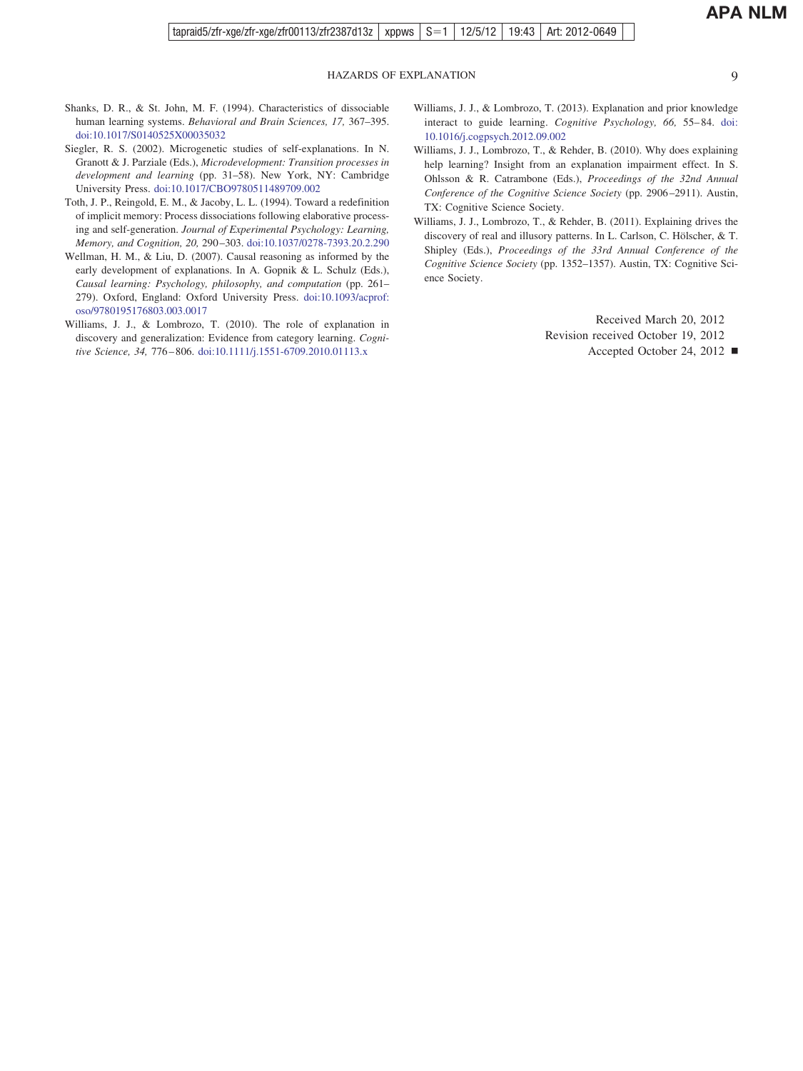- Shanks, D. R., & St. John, M. F. (1994). Characteristics of dissociable human learning systems. *Behavioral and Brain Sciences, 17,* 367–395. [doi:10.1017/S0140525X00035032](http://dx.doi.org/10.1017/S0140525X00035032)
- <span id="page-8-0"></span>Siegler, R. S. (2002). Microgenetic studies of self-explanations. In N. Granott & J. Parziale (Eds.), *Microdevelopment: Transition processes in development and learning* (pp. 31–58). New York, NY: Cambridge University Press. [doi:10.1017/CBO9780511489709.002](http://dx.doi.org/10.1017/CBO9780511489709.002)
- <span id="page-8-5"></span>Toth, J. P., Reingold, E. M., & Jacoby, L. L. (1994). Toward a redefinition of implicit memory: Process dissociations following elaborative processing and self-generation. *Journal of Experimental Psychology: Learning, Memory, and Cognition, 20,* 290 –303. [doi:10.1037/0278-7393.20.2.290](http://dx.doi.org/10.1037/0278-7393.20.2.290)
- <span id="page-8-1"></span>Wellman, H. M., & Liu, D. (2007). Causal reasoning as informed by the early development of explanations. In A. Gopnik & L. Schulz (Eds.), *Causal learning: Psychology, philosophy, and computation* (pp. 261– 279). Oxford, England: Oxford University Press. [doi:10.1093/acprof:](http://dx.doi.org/10.1093/acprof:oso/9780195176803.003.0017) [oso/9780195176803.003.0017](http://dx.doi.org/10.1093/acprof:oso/9780195176803.003.0017)
- <span id="page-8-4"></span>Williams, J. J., & Lombrozo, T. (2010). The role of explanation in discovery and generalization: Evidence from category learning. *Cognitive Science, 34,* 776 – 806. [doi:10.1111/j.1551-6709.2010.01113.x](http://dx.doi.org/10.1111/j.1551-6709.2010.01113.x)
- <span id="page-8-6"></span>Williams, J. J., & Lombrozo, T. (2013). Explanation and prior knowledge interact to guide learning. *Cognitive Psychology*, 66, 55–84. [doi:](http://dx.doi.org/10.1016/j.cogpsych.2012.09.002) [10.1016/j.cogpsych.2012.09.002](http://dx.doi.org/10.1016/j.cogpsych.2012.09.002)
- <span id="page-8-2"></span>Williams, J. J., Lombrozo, T., & Rehder, B. (2010). Why does explaining help learning? Insight from an explanation impairment effect. In S. Ohlsson & R. Catrambone (Eds.), *Proceedings of the 32nd Annual Conference of the Cognitive Science Society* (pp. 2906 –2911). Austin, TX: Cognitive Science Society.
- <span id="page-8-3"></span>Williams, J. J., Lombrozo, T., & Rehder, B. (2011). Explaining drives the discovery of real and illusory patterns. In L. Carlson, C. Hölscher, & T. Shipley (Eds.), *Proceedings of the 33rd Annual Conference of the Cognitive Science Society* (pp. 1352–1357). Austin, TX: Cognitive Science Society.

Received March 20, 2012 Revision received October 19, 2012

Accepted October 24, 2012